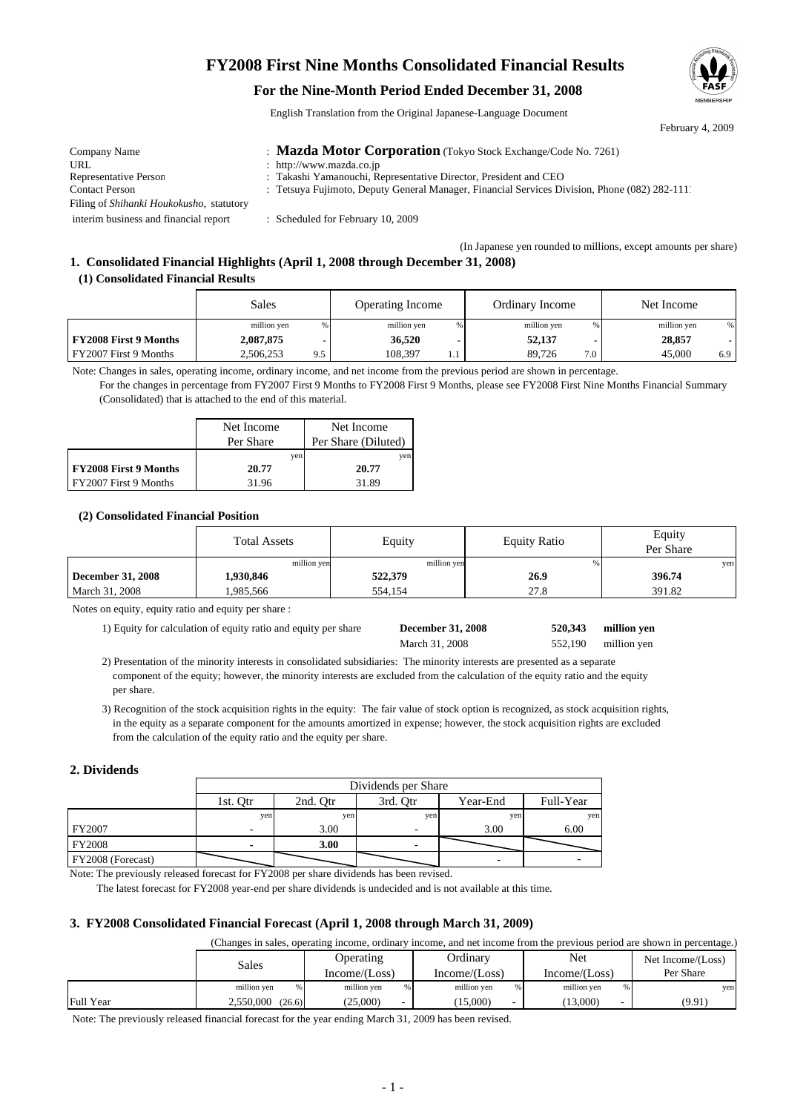## **FY2008 First Nine Months Consolidated Financial Results**

## **For the Nine-Month Period Ended December 31, 2008**

English Translation from the Original Japanese-Language Document



(In Japanese yen rounded to millions, except amounts per share)

# **1. Consolidated Financial Highlights (April 1, 2008 through December 31, 2008)**

### **(1) Consolidated Financial Results**

|                              | Sales            | <b>Operating Income</b> | Ordinary Income | Net Income       |
|------------------------------|------------------|-------------------------|-----------------|------------------|
|                              | million yen      | million yen             | million yen     | million yen<br>% |
| <b>FY2008 First 9 Months</b> | 2,087,875        | 36,520                  | 52,137          | 28,857           |
| FY2007 First 9 Months        | 2.506.253<br>9.5 | 108.397                 | 89.726<br>7.0   | 45,000<br>6.9    |

Note: Changes in sales, operating income, ordinary income, and net income from the previous period are shown in percentage.

For the changes in percentage from FY2007 First 9 Months to FY2008 First 9 Months, please see FY2008 First Nine Months Financial Summary (Consolidated) that is attached to the end of this material.

|                              | Net Income | Net Income          |
|------------------------------|------------|---------------------|
|                              | Per Share  | Per Share (Diluted) |
|                              | yen        | ven                 |
| <b>FY2008 First 9 Months</b> | 20.77      | 20.77               |
| FY2007 First 9 Months        | 31.96      | 31.89               |

### **(2) Consolidated Financial Position**

|                   | <b>Total Assets</b> | Equity      | <b>Equity Ratio</b> | Equity<br>Per Share |
|-------------------|---------------------|-------------|---------------------|---------------------|
|                   | million ven         | million yen |                     | yen                 |
| December 31, 2008 | 1,930,846           | 522,379     | 26.9                | 396.74              |
| March 31, 2008    | 1,985,566           | 554,154     | 27.8                | 391.82              |

Notes on equity, equity ratio and equity per share :

1) Equity for calculation of equity ratio and equity per share **December 31, 2008** 520,343 million yen

| <b>December 31, 2008</b> |  |
|--------------------------|--|
| March 31, 2008           |  |

million yen **520,343** 552,190

 2) Presentation of the minority interests in consolidated subsidiaries: The minority interests are presented as a separate component of the equity; however, the minority interests are excluded from the calculation of the equity ratio and the equity per share.

 3) Recognition of the stock acquisition rights in the equity: The fair value of stock option is recognized, as stock acquisition rights, in the equity as a separate component for the amounts amortized in expense; however, the stock acquisition rights are excluded from the calculation of the equity ratio and the equity per share.

#### **2. Dividends**

|                   |          | Dividends per Share |          |          |           |  |
|-------------------|----------|---------------------|----------|----------|-----------|--|
|                   | 1st. Otr | 2nd. Otr            | 3rd. Otr | Year-End | Full-Year |  |
|                   | yen      | ven                 | yen      | yen      | yen       |  |
| FY2007            |          | 3.00                |          | 3.00     | 6.00      |  |
| <b>FY2008</b>     |          | 3.00                |          |          |           |  |
| FY2008 (Forecast) |          |                     |          |          |           |  |

Note: The previously released forecast for FY2008 per share dividends has been revised.

The latest forecast for FY2008 year-end per share dividends is undecided and is not available at this time.

### **3. FY2008 Consolidated Financial Forecast (April 1, 2008 through March 31, 2009)**

(Changes in sales, operating income, ordinary income, and net income from the previous period are shown in percentage.)

|                  | Sales               | Operating<br>Income/(Loss) | Ordinary<br>Income/Loss) | <b>Net</b><br>Income/(Loss) | Net Income/(Loss)<br>Per Share |
|------------------|---------------------|----------------------------|--------------------------|-----------------------------|--------------------------------|
|                  | million yen<br>%    | million yen<br>%           | million yen<br>%         | million yen<br>%            | yen                            |
| <b>Full Year</b> | 2,550,000<br>(26.6) | (25.000)                   | 15,000                   | (13,000)                    | (9.91)                         |

Note: The previously released financial forecast for the year ending March 31, 2009 has been revised.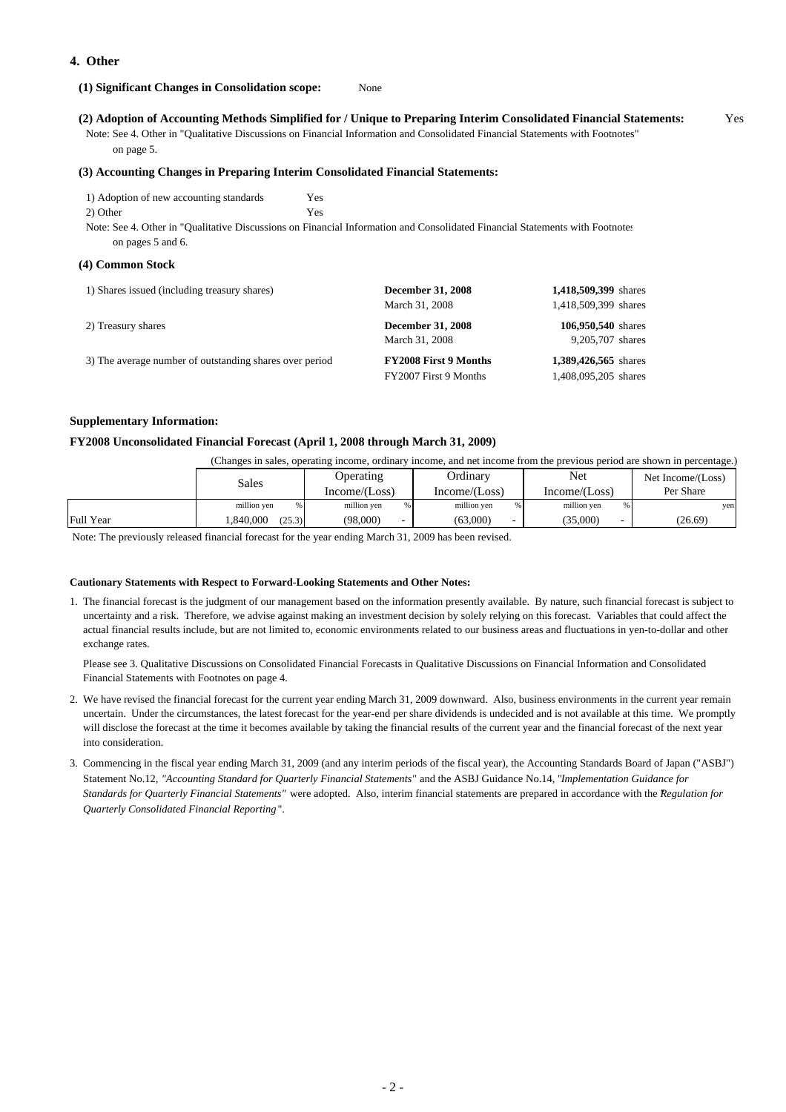### **4. Other**

#### **(1) Significant Changes in Consolidation scope:** None

#### **(2) Adoption of Accounting Methods Simplified for / Unique to Preparing Interim Consolidated Financial Statements:** Yes

 Note: See 4. Other in "Qualitative Discussions on Financial Information and Consolidated Financial Statements with Footnotes" on page 5.

#### **(3) Accounting Changes in Preparing Interim Consolidated Financial Statements:**

| 1) Adoption of new accounting standards |                                                                                                                              |
|-----------------------------------------|------------------------------------------------------------------------------------------------------------------------------|
| 2) Other                                |                                                                                                                              |
|                                         | Note: See 4, Other in "Qualitative Discussions on Einengial Information and Consolidated Einengial Statements with Eostnotes |

4. Other in "Qualitative Discussions on Financial Information and Consolidated Financial Statements with Footnote on pages 5 and 6.

#### **(4) Common Stock**

| 1) Shares issued (including treasury shares)            | <b>December 31, 2008</b><br>March 31, 2008 | 1,418,509,399 shares<br>1,418,509,399 shares |
|---------------------------------------------------------|--------------------------------------------|----------------------------------------------|
| 2) Treasury shares                                      | <b>December 31, 2008</b><br>March 31, 2008 | 106,950,540 shares<br>9,205,707 shares       |
| 3) The average number of outstanding shares over period | <b>FY2008 First 9 Months</b>               | 1,389,426,565 shares                         |
|                                                         | FY2007 First 9 Months                      | 1,408,095,205 shares                         |

#### **Supplementary Information:**

#### **FY2008 Unconsolidated Financial Forecast (April 1, 2008 through March 31, 2009)**

(Changes in sales, operating income, ordinary income, and net income from the previous period are shown in percentage.)

|           | Sales              | Operating        | Ordinary         | Net              | Net Income/(Loss) |
|-----------|--------------------|------------------|------------------|------------------|-------------------|
|           |                    | Income/(Loss)    | Income/(Loss)    | Income/(Loss)    | Per Share         |
|           | million yen<br>%   | million yen<br>% | %<br>million yen | %<br>million yen | yen               |
| Full Year | .840.000<br>(25.3) | (98,000)         | (63,000)         | (35,000)         | (26.69)           |

Note: The previously released financial forecast for the year ending March 31, 2009 has been revised.

#### **Cautionary Statements with Respect to Forward-Looking Statements and Other Notes:**

1. The financial forecast is the judgment of our management based on the information presently available. By nature, such financial forecast is subject to uncertainty and a risk. Therefore, we advise against making an investment decision by solely relying on this forecast. Variables that could affect the actual financial results include, but are not limited to, economic environments related to our business areas and fluctuations in yen-to-dollar and other exchange rates.

 Please see 3. Qualitative Discussions on Consolidated Financial Forecasts in Qualitative Discussions on Financial Information and Consolidated Financial Statements with Footnotes on page 4.

- 2. We have revised the financial forecast for the current year ending March 31, 2009 downward. Also, business environments in the current year remain uncertain. Under the circumstances, the latest forecast for the year-end per share dividends is undecided and is not available at this time. We promptly will disclose the forecast at the time it becomes available by taking the financial results of the current year and the financial forecast of the next year into consideration.
- 3. Commencing in the fiscal year ending March 31, 2009 (and any interim periods of the fiscal year), the Accounting Standards Board of Japan ("ASBJ") Statement No.12, *"Accounting Standard for Quarterly Financial Statements"* and the ASBJ Guidance No.14, "*Implementation Guidance for Standards for Quarterly Financial Statements"* were adopted. Also, interim financial statements are prepared in accordance with the *Regulation for Quarterly Consolidated Financial Reporting* ".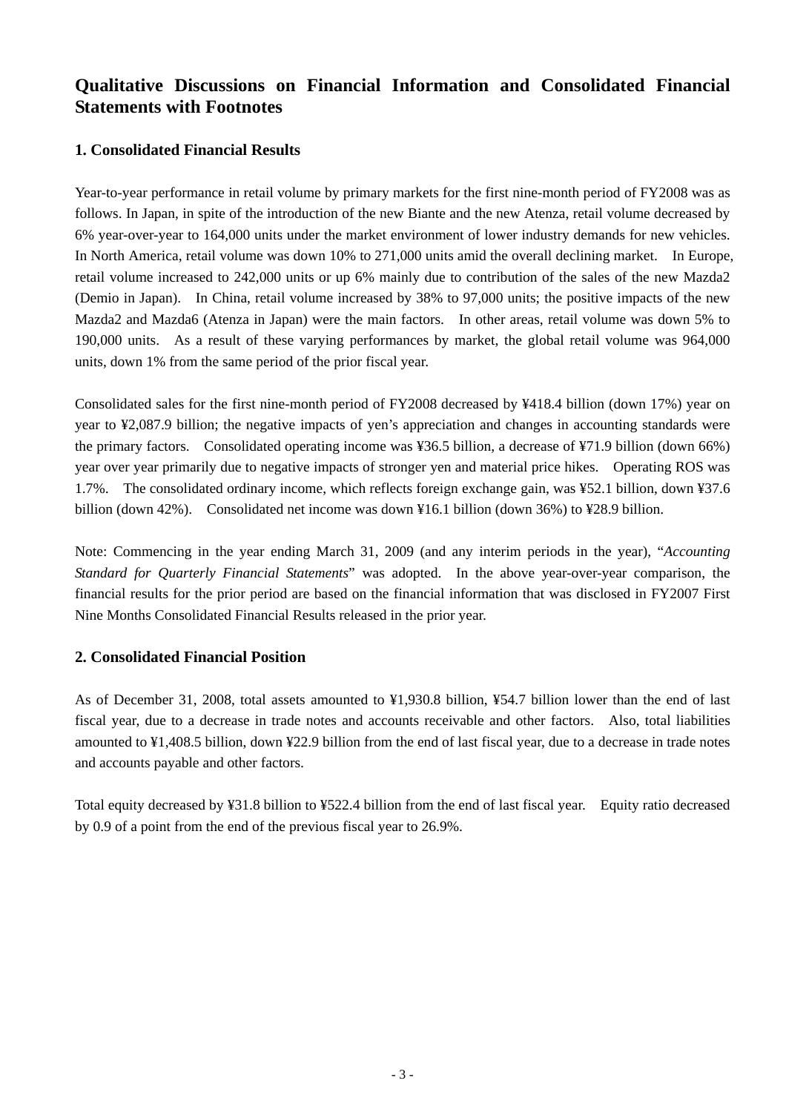# **Qualitative Discussions on Financial Information and Consolidated Financial Statements with Footnotes**

## **1. Consolidated Financial Results**

Year-to-year performance in retail volume by primary markets for the first nine-month period of FY2008 was as follows. In Japan, in spite of the introduction of the new Biante and the new Atenza, retail volume decreased by 6% year-over-year to 164,000 units under the market environment of lower industry demands for new vehicles. In North America, retail volume was down 10% to 271,000 units amid the overall declining market. In Europe, retail volume increased to 242,000 units or up 6% mainly due to contribution of the sales of the new Mazda2 (Demio in Japan). In China, retail volume increased by 38% to 97,000 units; the positive impacts of the new Mazda2 and Mazda6 (Atenza in Japan) were the main factors. In other areas, retail volume was down 5% to 190,000 units. As a result of these varying performances by market, the global retail volume was 964,000 units, down 1% from the same period of the prior fiscal year.

Consolidated sales for the first nine-month period of FY2008 decreased by ¥418.4 billion (down 17%) year on year to ¥2,087.9 billion; the negative impacts of yen's appreciation and changes in accounting standards were the primary factors. Consolidated operating income was ¥36.5 billion, a decrease of ¥71.9 billion (down 66%) year over year primarily due to negative impacts of stronger yen and material price hikes. Operating ROS was 1.7%. The consolidated ordinary income, which reflects foreign exchange gain, was ¥52.1 billion, down ¥37.6 billion (down 42%). Consolidated net income was down ¥16.1 billion (down 36%) to ¥28.9 billion.

Note: Commencing in the year ending March 31, 2009 (and any interim periods in the year), "*Accounting Standard for Quarterly Financial Statements*" was adopted. In the above year-over-year comparison, the financial results for the prior period are based on the financial information that was disclosed in FY2007 First Nine Months Consolidated Financial Results released in the prior year.

## **2. Consolidated Financial Position**

As of December 31, 2008, total assets amounted to ¥1,930.8 billion, ¥54.7 billion lower than the end of last fiscal year, due to a decrease in trade notes and accounts receivable and other factors. Also, total liabilities amounted to ¥1,408.5 billion, down ¥22.9 billion from the end of last fiscal year, due to a decrease in trade notes and accounts payable and other factors.

Total equity decreased by ¥31.8 billion to ¥522.4 billion from the end of last fiscal year. Equity ratio decreased by 0.9 of a point from the end of the previous fiscal year to 26.9%.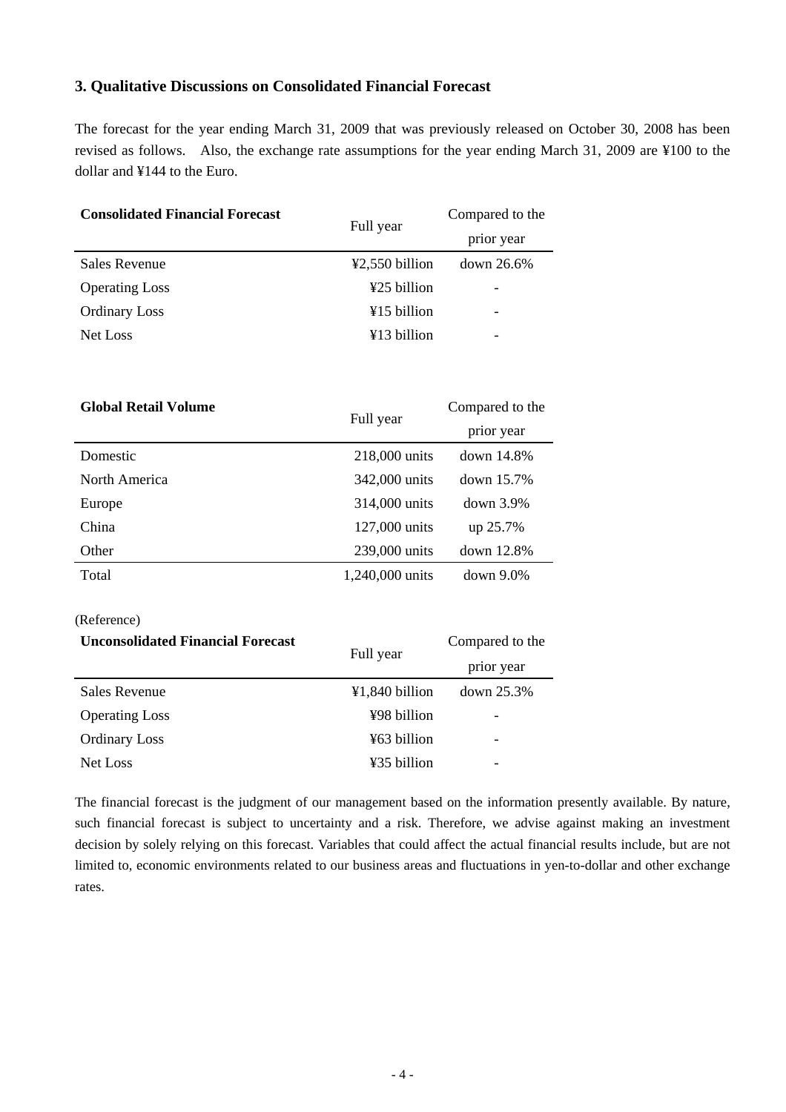## **3. Qualitative Discussions on Consolidated Financial Forecast**

The forecast for the year ending March 31, 2009 that was previously released on October 30, 2008 has been revised as follows. Also, the exchange rate assumptions for the year ending March 31, 2009 are ¥100 to the dollar and ¥144 to the Euro.

| <b>Consolidated Financial Forecast</b> | Full year                           | Compared to the |
|----------------------------------------|-------------------------------------|-----------------|
|                                        |                                     | prior year      |
| <b>Sales Revenue</b>                   | $\text{\textsterling}2,550$ billion | $down\ 26.6\%$  |
| <b>Operating Loss</b>                  | ¥25 billion                         | -               |
| <b>Ordinary Loss</b>                   | ¥15 billion                         | -               |
| Net Loss                               | ¥13 billion                         | ٠               |

| <b>Global Retail Volume</b> |                 | Compared to the |
|-----------------------------|-----------------|-----------------|
|                             | Full year       | prior year      |
| Domestic                    | 218,000 units   | down $14.8\%$   |
| North America               | 342,000 units   | down 15.7%      |
| Europe                      | 314,000 units   | $down$ 3.9%     |
| China                       | 127,000 units   | up 25.7%        |
| Other                       | 239,000 units   | down 12.8%      |
| Total                       | 1,240,000 units | $down 9.0\%$    |

(Reference)

| <b>Unconsolidated Financial Forecast</b> | Full year      | Compared to the |
|------------------------------------------|----------------|-----------------|
|                                          |                | prior year      |
| <b>Sales Revenue</b>                     | ¥1,840 billion | $down$ 25.3%    |
| <b>Operating Loss</b>                    | ¥98 billion    |                 |
| <b>Ordinary Loss</b>                     | ¥63 billion    |                 |
| Net Loss                                 | ¥35 billion    |                 |

The financial forecast is the judgment of our management based on the information presently available. By nature, such financial forecast is subject to uncertainty and a risk. Therefore, we advise against making an investment decision by solely relying on this forecast. Variables that could affect the actual financial results include, but are not limited to, economic environments related to our business areas and fluctuations in yen-to-dollar and other exchange rates.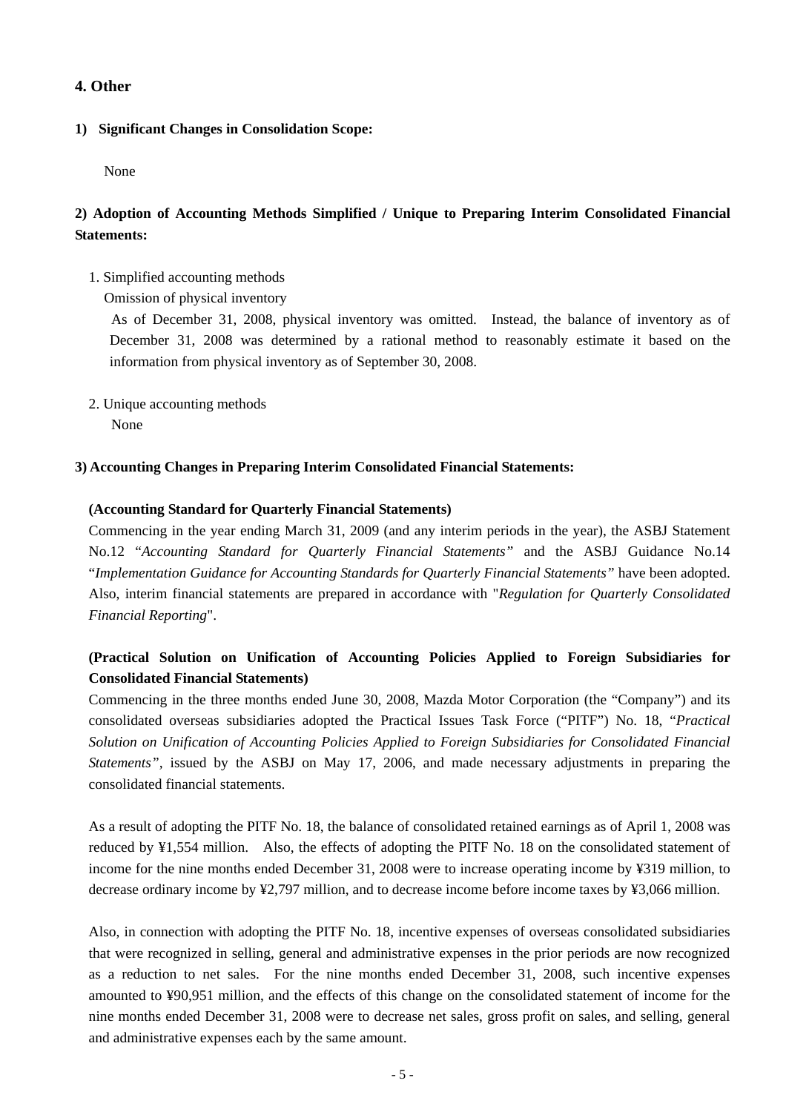## **4. Other**

## **1) Significant Changes in Consolidation Scope:**

None

## **2) Adoption of Accounting Methods Simplified / Unique to Preparing Interim Consolidated Financial Statements:**

1. Simplified accounting methods

Omission of physical inventory

 As of December 31, 2008, physical inventory was omitted. Instead, the balance of inventory as of December 31, 2008 was determined by a rational method to reasonably estimate it based on the information from physical inventory as of September 30, 2008.

2. Unique accounting methods None

## **3) Accounting Changes in Preparing Interim Consolidated Financial Statements:**

## **(Accounting Standard for Quarterly Financial Statements)**

Commencing in the year ending March 31, 2009 (and any interim periods in the year), the ASBJ Statement No.12 "*Accounting Standard for Quarterly Financial Statements"* and the ASBJ Guidance No.14 "*Implementation Guidance for Accounting Standards for Quarterly Financial Statements"* have been adopted. Also, interim financial statements are prepared in accordance with "*Regulation for Quarterly Consolidated Financial Reporting*".

## **(Practical Solution on Unification of Accounting Policies Applied to Foreign Subsidiaries for Consolidated Financial Statements)**

Commencing in the three months ended June 30, 2008, Mazda Motor Corporation (the "Company") and its consolidated overseas subsidiaries adopted the Practical Issues Task Force ("PITF") No. 18, "*Practical Solution on Unification of Accounting Policies Applied to Foreign Subsidiaries for Consolidated Financial Statements",* issued by the ASBJ on May 17, 2006, and made necessary adjustments in preparing the consolidated financial statements.

As a result of adopting the PITF No. 18, the balance of consolidated retained earnings as of April 1, 2008 was reduced by ¥1,554 million. Also, the effects of adopting the PITF No. 18 on the consolidated statement of income for the nine months ended December 31, 2008 were to increase operating income by ¥319 million, to decrease ordinary income by ¥2,797 million, and to decrease income before income taxes by ¥3,066 million.

Also, in connection with adopting the PITF No. 18, incentive expenses of overseas consolidated subsidiaries that were recognized in selling, general and administrative expenses in the prior periods are now recognized as a reduction to net sales. For the nine months ended December 31, 2008, such incentive expenses amounted to ¥90,951 million, and the effects of this change on the consolidated statement of income for the nine months ended December 31, 2008 were to decrease net sales, gross profit on sales, and selling, general and administrative expenses each by the same amount.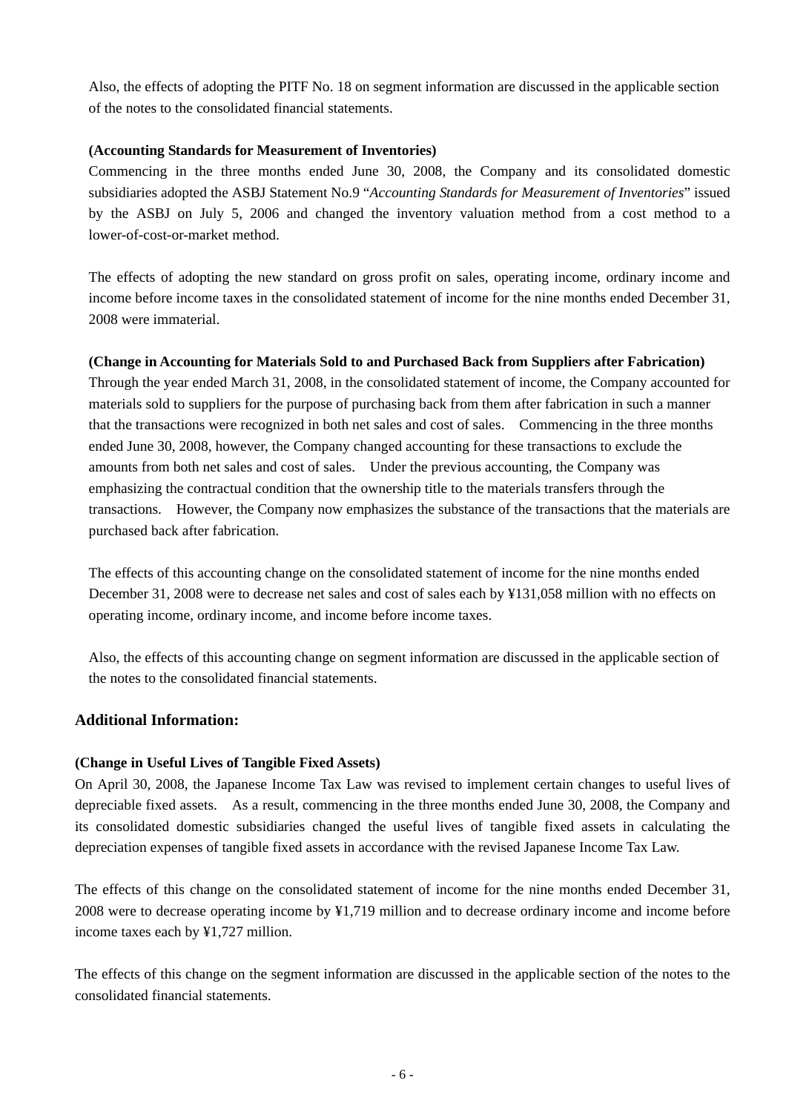Also, the effects of adopting the PITF No. 18 on segment information are discussed in the applicable section of the notes to the consolidated financial statements.

## **(Accounting Standards for Measurement of Inventories)**

Commencing in the three months ended June 30, 2008, the Company and its consolidated domestic subsidiaries adopted the ASBJ Statement No.9 "*Accounting Standards for Measurement of Inventories*" issued by the ASBJ on July 5, 2006 and changed the inventory valuation method from a cost method to a lower-of-cost-or-market method.

The effects of adopting the new standard on gross profit on sales, operating income, ordinary income and income before income taxes in the consolidated statement of income for the nine months ended December 31, 2008 were immaterial.

## **(Change in Accounting for Materials Sold to and Purchased Back from Suppliers after Fabrication)**

Through the year ended March 31, 2008, in the consolidated statement of income, the Company accounted for materials sold to suppliers for the purpose of purchasing back from them after fabrication in such a manner that the transactions were recognized in both net sales and cost of sales. Commencing in the three months ended June 30, 2008, however, the Company changed accounting for these transactions to exclude the amounts from both net sales and cost of sales. Under the previous accounting, the Company was emphasizing the contractual condition that the ownership title to the materials transfers through the transactions. However, the Company now emphasizes the substance of the transactions that the materials are purchased back after fabrication.

The effects of this accounting change on the consolidated statement of income for the nine months ended December 31, 2008 were to decrease net sales and cost of sales each by ¥131,058 million with no effects on operating income, ordinary income, and income before income taxes.

Also, the effects of this accounting change on segment information are discussed in the applicable section of the notes to the consolidated financial statements.

## **Additional Information:**

## **(Change in Useful Lives of Tangible Fixed Assets)**

On April 30, 2008, the Japanese Income Tax Law was revised to implement certain changes to useful lives of depreciable fixed assets. As a result, commencing in the three months ended June 30, 2008, the Company and its consolidated domestic subsidiaries changed the useful lives of tangible fixed assets in calculating the depreciation expenses of tangible fixed assets in accordance with the revised Japanese Income Tax Law.

The effects of this change on the consolidated statement of income for the nine months ended December 31, 2008 were to decrease operating income by ¥1,719 million and to decrease ordinary income and income before income taxes each by ¥1,727 million.

The effects of this change on the segment information are discussed in the applicable section of the notes to the consolidated financial statements.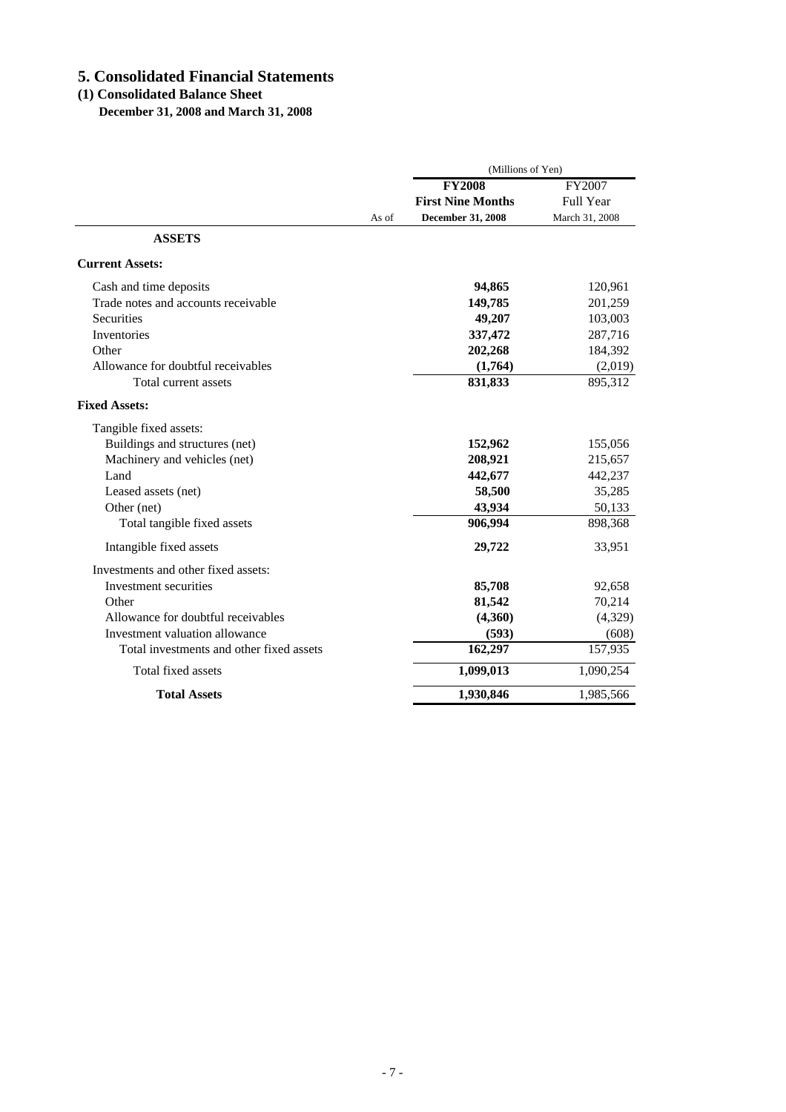# **5. Consolidated Financial Statements**

## **(1) Consolidated Balance Sheet**

 **December 31, 2008 and March 31, 2008**

|                                          |       | (Millions of Yen)        |                  |  |
|------------------------------------------|-------|--------------------------|------------------|--|
|                                          |       | <b>FY2008</b>            | FY2007           |  |
|                                          |       | <b>First Nine Months</b> | <b>Full Year</b> |  |
|                                          | As of | December 31, 2008        | March 31, 2008   |  |
| <b>ASSETS</b>                            |       |                          |                  |  |
| <b>Current Assets:</b>                   |       |                          |                  |  |
| Cash and time deposits                   |       | 94,865                   | 120,961          |  |
| Trade notes and accounts receivable      |       | 149,785                  | 201,259          |  |
| <b>Securities</b>                        |       | 49,207                   | 103,003          |  |
| <b>Inventories</b>                       |       | 337,472                  | 287,716          |  |
| Other                                    |       | 202,268                  | 184,392          |  |
| Allowance for doubtful receivables       |       | (1,764)                  | (2,019)          |  |
| Total current assets                     |       | 831,833                  | 895,312          |  |
| <b>Fixed Assets:</b>                     |       |                          |                  |  |
| Tangible fixed assets:                   |       |                          |                  |  |
| Buildings and structures (net)           |       | 152,962                  | 155,056          |  |
| Machinery and vehicles (net)             |       | 208,921                  | 215,657          |  |
| Land                                     |       | 442,677                  | 442,237          |  |
| Leased assets (net)                      |       | 58,500                   | 35,285           |  |
| Other (net)                              |       | 43,934                   | 50,133           |  |
| Total tangible fixed assets              |       | 906,994                  | 898,368          |  |
| Intangible fixed assets                  |       | 29,722                   | 33,951           |  |
| Investments and other fixed assets:      |       |                          |                  |  |
| Investment securities                    |       | 85,708                   | 92,658           |  |
| Other                                    |       | 81,542                   | 70,214           |  |
| Allowance for doubtful receivables       |       | (4,360)                  | (4,329)          |  |
| Investment valuation allowance           |       | (593)                    | (608)            |  |
| Total investments and other fixed assets |       | 162,297                  | 157,935          |  |
| Total fixed assets                       |       | 1,099,013                | 1,090,254        |  |
| <b>Total Assets</b>                      |       | 1,930,846                | 1,985,566        |  |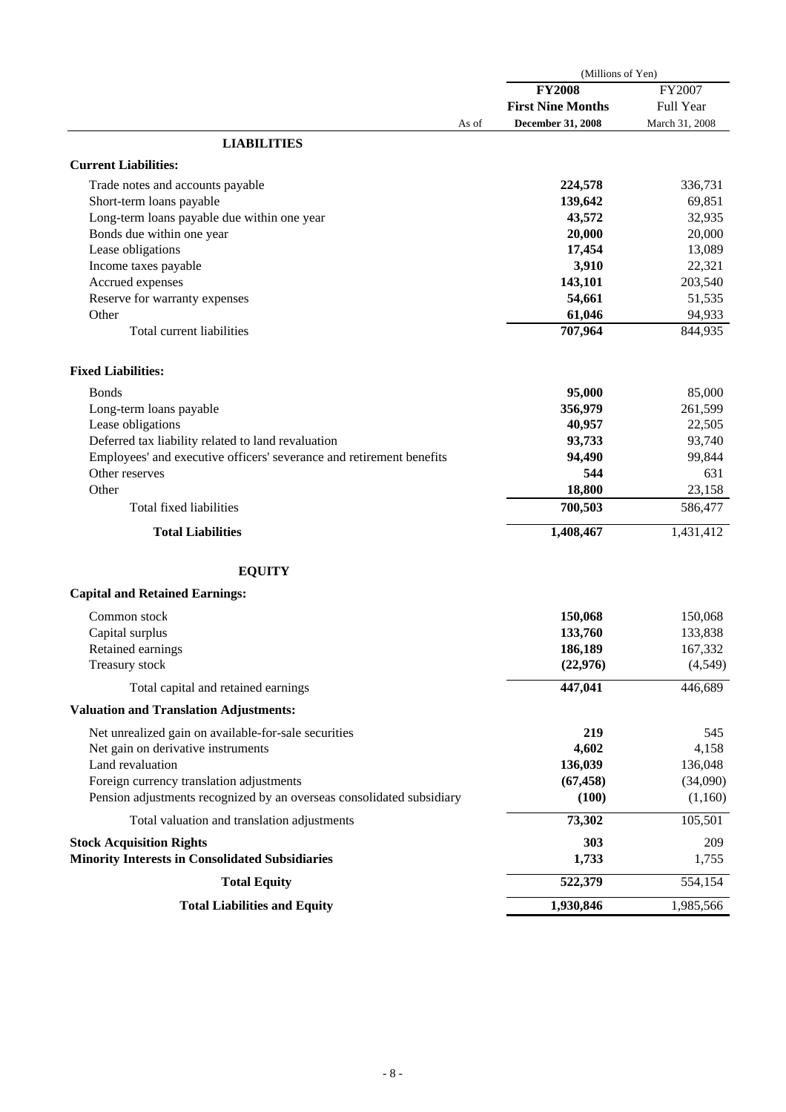|                                                                       | (Millions of Yen)        |                |  |
|-----------------------------------------------------------------------|--------------------------|----------------|--|
|                                                                       | <b>FY2008</b>            | FY2007         |  |
|                                                                       | <b>First Nine Months</b> | Full Year      |  |
| As of                                                                 | <b>December 31, 2008</b> | March 31, 2008 |  |
| <b>LIABILITIES</b>                                                    |                          |                |  |
| <b>Current Liabilities:</b>                                           |                          |                |  |
| Trade notes and accounts payable                                      | 224,578                  | 336,731        |  |
| Short-term loans payable                                              | 139,642                  | 69,851         |  |
| Long-term loans payable due within one year                           | 43,572                   | 32,935         |  |
| Bonds due within one year                                             | 20,000                   | 20,000         |  |
| Lease obligations                                                     | 17,454                   | 13,089         |  |
| Income taxes payable                                                  | 3,910                    | 22,321         |  |
| Accrued expenses                                                      | 143,101                  | 203,540        |  |
| Reserve for warranty expenses                                         | 54,661                   | 51,535         |  |
| Other                                                                 | 61,046                   | 94,933         |  |
| Total current liabilities                                             | 707,964                  | 844,935        |  |
| <b>Fixed Liabilities:</b>                                             |                          |                |  |
| <b>Bonds</b>                                                          | 95,000                   | 85,000         |  |
| Long-term loans payable                                               | 356,979                  | 261,599        |  |
| Lease obligations                                                     | 40,957                   | 22,505         |  |
| Deferred tax liability related to land revaluation                    | 93,733                   | 93,740         |  |
| Employees' and executive officers' severance and retirement benefits  | 94,490                   | 99,844         |  |
| Other reserves                                                        | 544                      | 631            |  |
| Other                                                                 | 18,800                   | 23,158         |  |
| Total fixed liabilities                                               | 700,503                  | 586,477        |  |
| <b>Total Liabilities</b>                                              | 1,408,467                | 1,431,412      |  |
| <b>EQUITY</b>                                                         |                          |                |  |
| <b>Capital and Retained Earnings:</b>                                 |                          |                |  |
| Common stock                                                          | 150,068                  | 150,068        |  |
| Capital surplus                                                       | 133,760                  | 133,838        |  |
| Retained earnings                                                     | 186,189                  | 167,332        |  |
| Treasury stock                                                        | (22, 976)                | (4,549)        |  |
| Total capital and retained earnings                                   | 447,041                  | 446,689        |  |
| <b>Valuation and Translation Adjustments:</b>                         |                          |                |  |
| Net unrealized gain on available-for-sale securities                  | 219                      | 545            |  |
| Net gain on derivative instruments                                    | 4,602                    | 4,158          |  |
| Land revaluation                                                      | 136,039                  | 136,048        |  |
| Foreign currency translation adjustments                              | (67, 458)                | (34,090)       |  |
| Pension adjustments recognized by an overseas consolidated subsidiary | (100)                    | (1,160)        |  |
| Total valuation and translation adjustments                           | 73,302                   | 105,501        |  |
| <b>Stock Acquisition Rights</b>                                       | 303                      | 209            |  |
| <b>Minority Interests in Consolidated Subsidiaries</b>                | 1,733                    | 1,755          |  |
| <b>Total Equity</b>                                                   | 522,379                  | 554,154        |  |
| <b>Total Liabilities and Equity</b>                                   | 1,930,846                | 1,985,566      |  |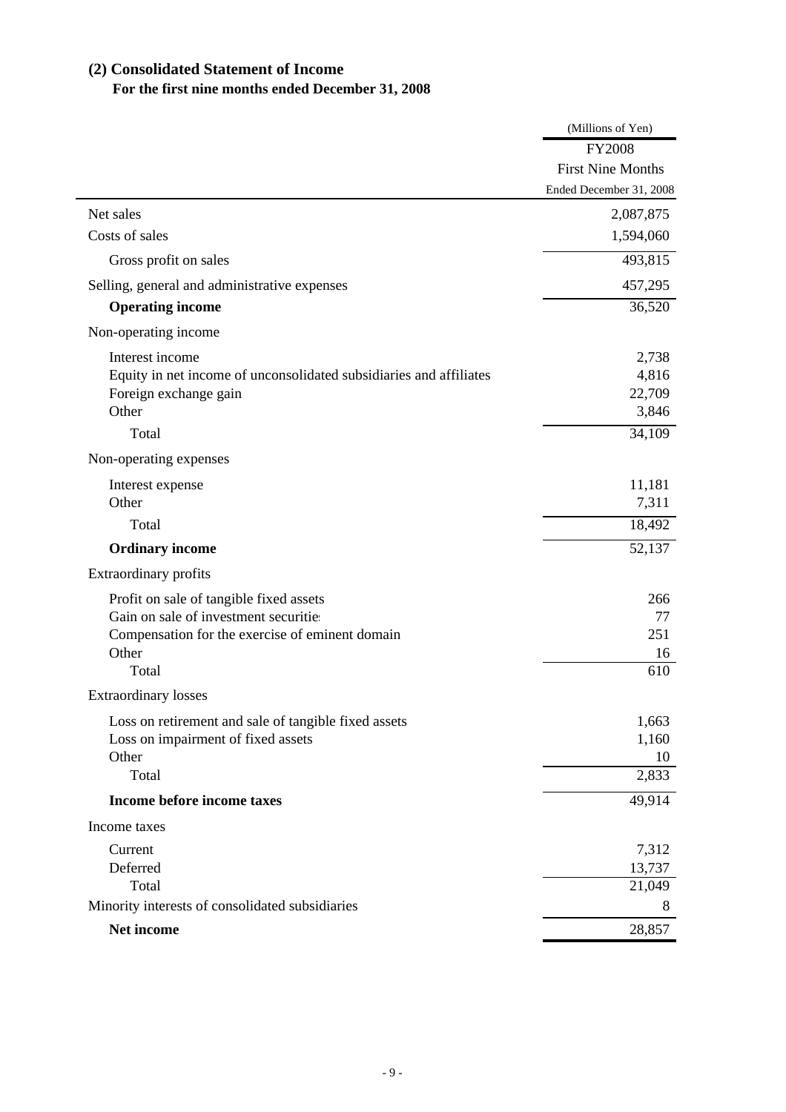# **(2) Consolidated Statement of Income For the first nine months ended December 31, 2008**

|                                                                    | (Millions of Yen)        |
|--------------------------------------------------------------------|--------------------------|
|                                                                    | <b>FY2008</b>            |
|                                                                    | <b>First Nine Months</b> |
|                                                                    | Ended December 31, 2008  |
| Net sales                                                          | 2,087,875                |
| Costs of sales                                                     | 1,594,060                |
| Gross profit on sales                                              | 493,815                  |
| Selling, general and administrative expenses                       | 457,295                  |
| <b>Operating income</b>                                            | 36,520                   |
| Non-operating income                                               |                          |
| Interest income                                                    | 2,738                    |
| Equity in net income of unconsolidated subsidiaries and affiliates | 4,816                    |
| Foreign exchange gain<br>Other                                     | 22,709                   |
|                                                                    | 3,846                    |
| Total                                                              | 34,109                   |
| Non-operating expenses                                             |                          |
| Interest expense                                                   | 11,181                   |
| Other                                                              | 7,311                    |
| Total                                                              | 18,492                   |
| <b>Ordinary income</b>                                             | 52,137                   |
| Extraordinary profits                                              |                          |
| Profit on sale of tangible fixed assets                            | 266                      |
| Gain on sale of investment securities                              | 77                       |
| Compensation for the exercise of eminent domain                    | 251                      |
| Other<br>Total                                                     | 16<br>610                |
|                                                                    |                          |
| <b>Extraordinary losses</b>                                        |                          |
| Loss on retirement and sale of tangible fixed assets               | 1,663                    |
| Loss on impairment of fixed assets<br>Other                        | 1,160<br>10              |
| Total                                                              | 2,833                    |
| Income before income taxes                                         | 49,914                   |
| Income taxes                                                       |                          |
| Current                                                            | 7,312                    |
| Deferred                                                           | 13,737                   |
| Total                                                              | 21,049                   |
| Minority interests of consolidated subsidiaries                    | 8                        |
| Net income                                                         | 28,857                   |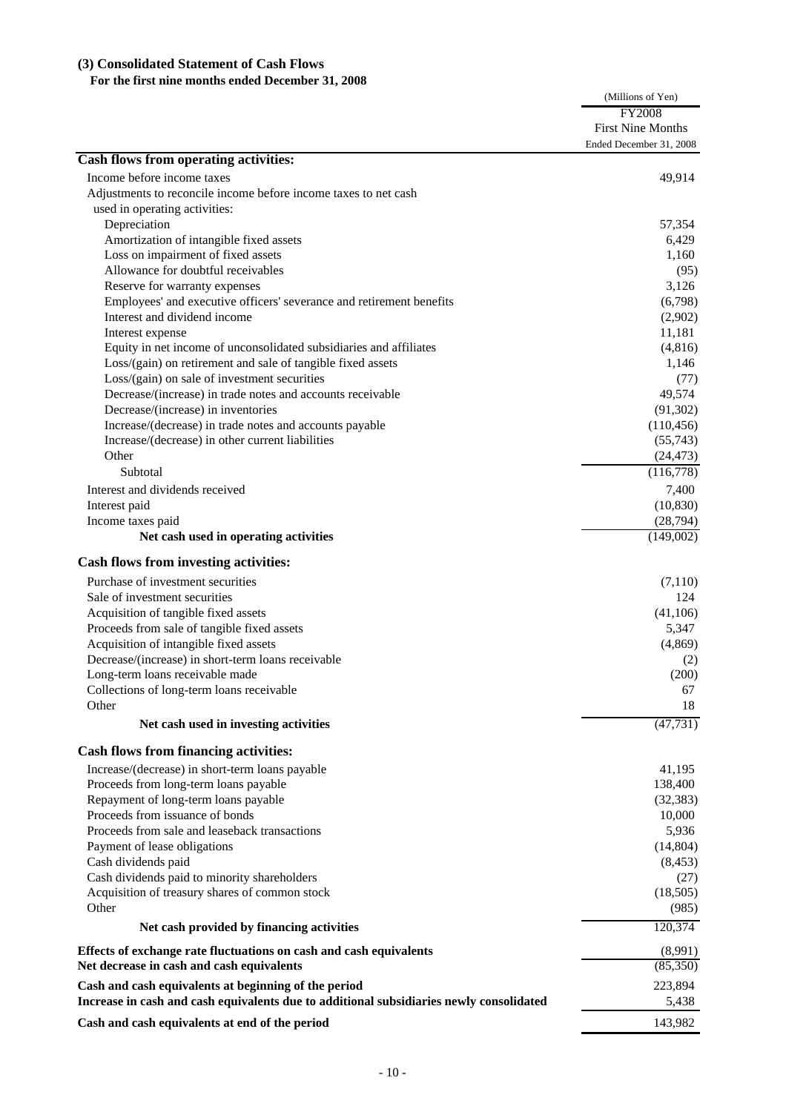## **(3) Consolidated Statement of Cash Flows**

## **For the first nine months ended December 31, 2008**

|                                                                                         | (Millions of Yen)        |
|-----------------------------------------------------------------------------------------|--------------------------|
|                                                                                         | <b>FY2008</b>            |
|                                                                                         | <b>First Nine Months</b> |
|                                                                                         | Ended December 31, 2008  |
| Cash flows from operating activities:                                                   |                          |
| Income before income taxes                                                              | 49,914                   |
| Adjustments to reconcile income before income taxes to net cash                         |                          |
| used in operating activities:                                                           |                          |
| Depreciation                                                                            | 57,354                   |
| Amortization of intangible fixed assets                                                 | 6,429                    |
| Loss on impairment of fixed assets                                                      | 1,160                    |
| Allowance for doubtful receivables                                                      | (95)                     |
| Reserve for warranty expenses                                                           | 3,126                    |
| Employees' and executive officers' severance and retirement benefits                    | (6,798)                  |
| Interest and dividend income                                                            | (2,902)                  |
| Interest expense                                                                        | 11,181                   |
| Equity in net income of unconsolidated subsidiaries and affiliates                      | (4, 816)                 |
| Loss/(gain) on retirement and sale of tangible fixed assets                             | 1,146                    |
| Loss/(gain) on sale of investment securities                                            | (77)                     |
| Decrease/(increase) in trade notes and accounts receivable                              | 49,574                   |
| Decrease/(increase) in inventories                                                      | (91, 302)                |
| Increase/(decrease) in trade notes and accounts payable                                 | (110, 456)               |
| Increase/(decrease) in other current liabilities                                        | (55,743)                 |
| Other                                                                                   | (24, 473)                |
| Subtotal                                                                                | (116,778)                |
| Interest and dividends received                                                         | 7,400                    |
| Interest paid                                                                           | (10, 830)                |
| Income taxes paid                                                                       | (28, 794)                |
| Net cash used in operating activities                                                   | (149,002)                |
|                                                                                         |                          |
| <b>Cash flows from investing activities:</b>                                            |                          |
| Purchase of investment securities                                                       | (7,110)                  |
| Sale of investment securities                                                           | 124                      |
| Acquisition of tangible fixed assets                                                    | (41,106)                 |
| Proceeds from sale of tangible fixed assets                                             | 5,347                    |
| Acquisition of intangible fixed assets                                                  | (4, 869)                 |
| Decrease/(increase) in short-term loans receivable                                      | (2)                      |
| Long-term loans receivable made                                                         | (200)                    |
| Collections of long-term loans receivable                                               | 67                       |
| Other                                                                                   | 18                       |
| Net cash used in investing activities                                                   | (47, 731)                |
|                                                                                         |                          |
| <b>Cash flows from financing activities:</b>                                            |                          |
| Increase/(decrease) in short-term loans payable                                         | 41,195                   |
| Proceeds from long-term loans payable                                                   | 138,400                  |
| Repayment of long-term loans payable                                                    | (32, 383)                |
| Proceeds from issuance of bonds                                                         | 10,000                   |
| Proceeds from sale and leaseback transactions                                           | 5,936                    |
| Payment of lease obligations                                                            | (14,804)                 |
| Cash dividends paid                                                                     | (8, 453)                 |
| Cash dividends paid to minority shareholders                                            | (27)                     |
| Acquisition of treasury shares of common stock                                          | (18, 505)                |
| Other                                                                                   | (985)                    |
| Net cash provided by financing activities                                               | 120,374                  |
| Effects of exchange rate fluctuations on cash and cash equivalents                      | (8,991)                  |
| Net decrease in cash and cash equivalents                                               | (85,350)                 |
| Cash and cash equivalents at beginning of the period                                    | 223,894                  |
| Increase in cash and cash equivalents due to additional subsidiaries newly consolidated | 5,438                    |
| Cash and cash equivalents at end of the period                                          | 143,982                  |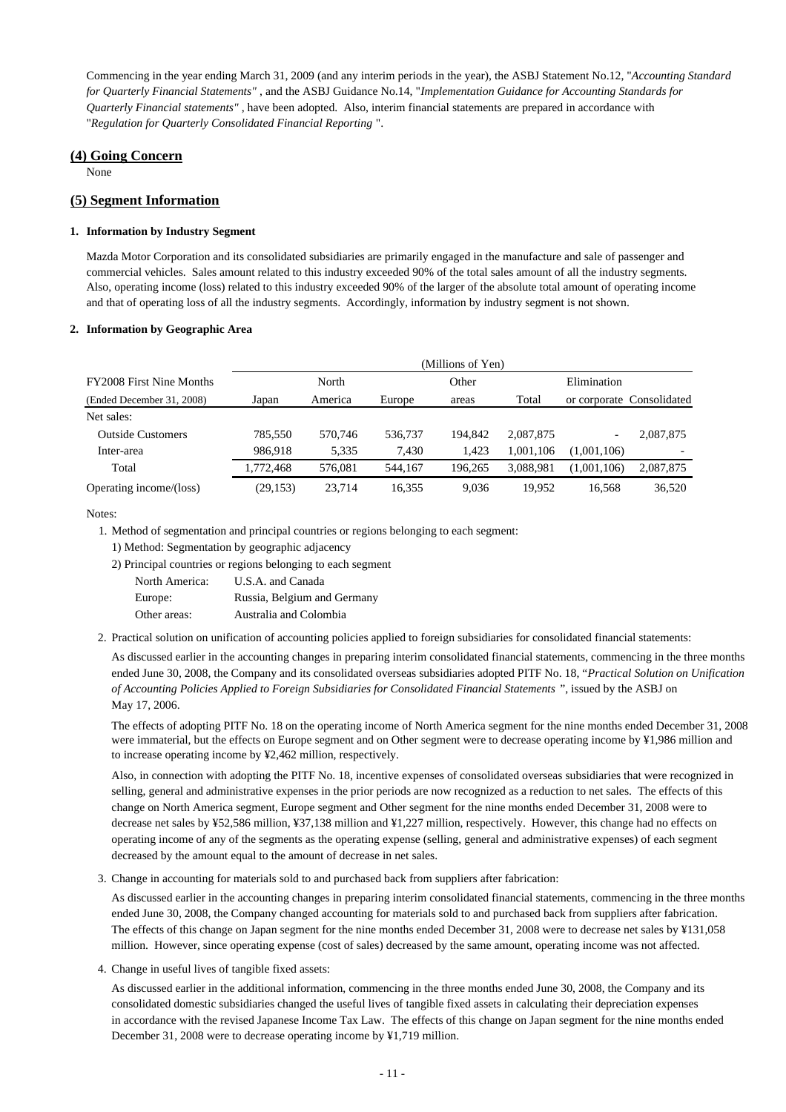Commencing in the year ending March 31, 2009 (and any interim periods in the year), the ASBJ Statement No.12, "*Accounting Standard for Quarterly Financial Statements"* , and the ASBJ Guidance No.14, "*Implementation Guidance for Accounting Standards for Quarterly Financial statements"* , have been adopted. Also, interim financial statements are prepared in accordance with "*Regulation for Quarterly Consolidated Financial Reporting* ".

## **(4) Going Concern**

None

### **(5) Segment Information**

### **1. Information by Industry Segment**

Mazda Motor Corporation and its consolidated subsidiaries are primarily engaged in the manufacture and sale of passenger and commercial vehicles. Sales amount related to this industry exceeded 90% of the total sales amount of all the industry segments. Also, operating income (loss) related to this industry exceeded 90% of the larger of the absolute total amount of operating income and that of operating loss of all the industry segments. Accordingly, information by industry segment is not shown.

### **2. Information by Geographic Area**

|                                 | (Millions of Yen) |         |         |         |           |                          |                           |
|---------------------------------|-------------------|---------|---------|---------|-----------|--------------------------|---------------------------|
| <b>FY2008 First Nine Months</b> |                   | North   |         | Other   |           | Elimination              |                           |
| (Ended December 31, 2008)       | Japan             | America | Europe  | areas   | Total     |                          | or corporate Consolidated |
| Net sales:                      |                   |         |         |         |           |                          |                           |
| <b>Outside Customers</b>        | 785.550           | 570.746 | 536,737 | 194.842 | 2,087,875 | $\overline{\phantom{0}}$ | 2,087,875                 |
| Inter-area                      | 986.918           | 5,335   | 7,430   | 1.423   | 1.001.106 | (1,001,106)              |                           |
| Total                           | 1,772,468         | 576.081 | 544,167 | 196,265 | 3,088,981 | (1,001,106)              | 2,087,875                 |
| Operating income/(loss)         | (29, 153)         | 23,714  | 16,355  | 9,036   | 19,952    | 16.568                   | 36,520                    |

Notes:

1. Method of segmentation and principal countries or regions belonging to each segment:

<sup>2)</sup> Principal countries or regions belonging to each segment

| North America: | U.S.A. and Canada           |
|----------------|-----------------------------|
| Europe:        | Russia, Belgium and Germany |
| Other areas:   | Australia and Colombia      |

2. Practical solution on unification of accounting policies applied to foreign subsidiaries for consolidated financial statements:

As discussed earlier in the accounting changes in preparing interim consolidated financial statements, commencing in the three months ended June 30, 2008, the Company and its consolidated overseas subsidiaries adopted PITF No. 18, "*Practical Solution on Unification of Accounting Policies Applied to Foreign Subsidiaries for Consolidated Financial Statements* ", issued by the ASBJ on May 17, 2006.

The effects of adopting PITF No. 18 on the operating income of North America segment for the nine months ended December 31, 2008 were immaterial, but the effects on Europe segment and on Other segment were to decrease operating income by ¥1,986 million and to increase operating income by ¥2,462 million, respectively.

Also, in connection with adopting the PITF No. 18, incentive expenses of consolidated overseas subsidiaries that were recognized in selling, general and administrative expenses in the prior periods are now recognized as a reduction to net sales. The effects of this change on North America segment, Europe segment and Other segment for the nine months ended December 31, 2008 were to decrease net sales by ¥52,586 million, ¥37,138 million and ¥1,227 million, respectively. However, this change had no effects on operating income of any of the segments as the operating expense (selling, general and administrative expenses) of each segment decreased by the amount equal to the amount of decrease in net sales.

3. Change in accounting for materials sold to and purchased back from suppliers after fabrication:

As discussed earlier in the accounting changes in preparing interim consolidated financial statements, commencing in the three months ended June 30, 2008, the Company changed accounting for materials sold to and purchased back from suppliers after fabrication. The effects of this change on Japan segment for the nine months ended December 31, 2008 were to decrease net sales by ¥131,058 million. However, since operating expense (cost of sales) decreased by the same amount, operating income was not affected.

4. Change in useful lives of tangible fixed assets:

As discussed earlier in the additional information, commencing in the three months ended June 30, 2008, the Company and its consolidated domestic subsidiaries changed the useful lives of tangible fixed assets in calculating their depreciation expenses in accordance with the revised Japanese Income Tax Law. The effects of this change on Japan segment for the nine months ended December 31, 2008 were to decrease operating income by ¥1,719 million.

<sup>1)</sup> Method: Segmentation by geographic adjacency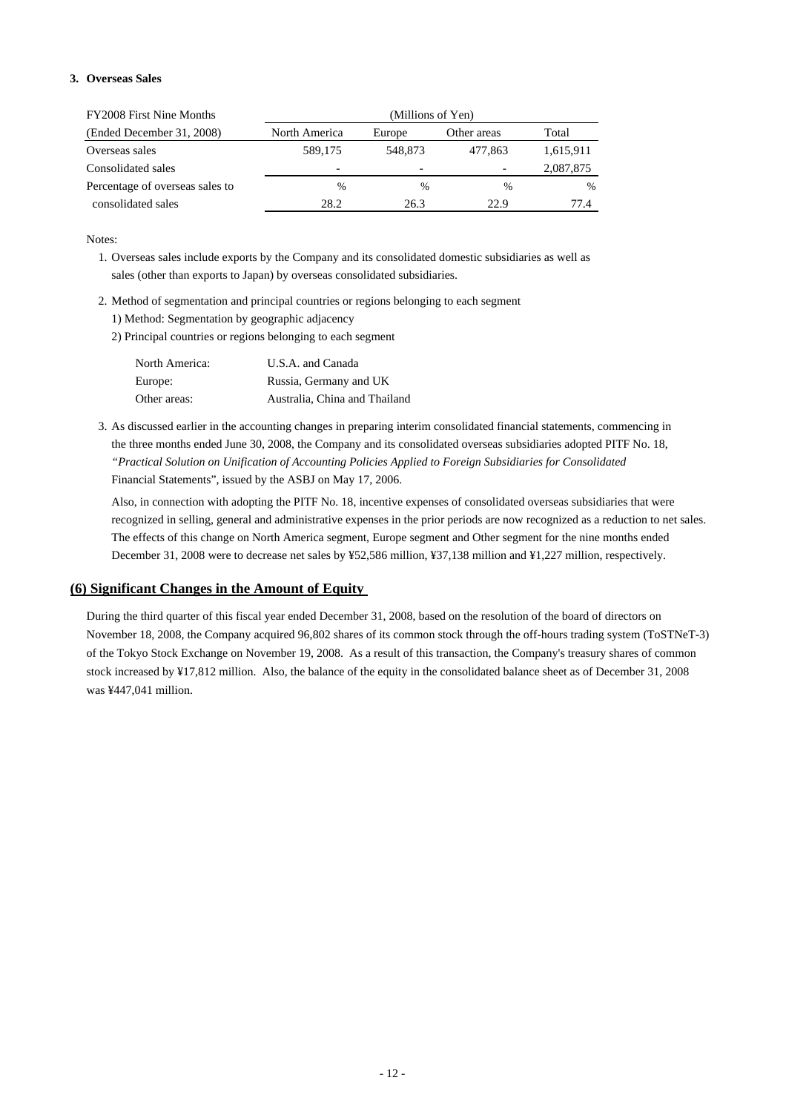### **3. Overseas Sales**

| <b>FY2008 First Nine Months</b> | (Millions of Yen) |                          |                          |           |  |
|---------------------------------|-------------------|--------------------------|--------------------------|-----------|--|
| (Ended December 31, 2008)       | North America     | Europe                   | Other areas              | Total     |  |
| Overseas sales                  | 589,175           | 548,873                  | 477,863                  | 1,615,911 |  |
| Consolidated sales              | -                 | $\overline{\phantom{0}}$ | $\overline{\phantom{0}}$ | 2,087,875 |  |
| Percentage of overseas sales to | $\%$              | $\frac{0}{0}$            | $\%$                     | $\%$      |  |
| consolidated sales              | 28.2              | 26.3                     | 22.9                     | 77.4      |  |

Notes:

- 1. Overseas sales include exports by the Company and its consolidated domestic subsidiaries as well as sales (other than exports to Japan) by overseas consolidated subsidiaries.
- 2. Method of segmentation and principal countries or regions belonging to each segment 1) Method: Segmentation by geographic adjacency
	- 2) Principal countries or regions belonging to each segment

| North America: | U.S.A. and Canada             |
|----------------|-------------------------------|
| Europe:        | Russia, Germany and UK        |
| Other areas:   | Australia. China and Thailand |

3. As discussed earlier in the accounting changes in preparing interim consolidated financial statements, commencing in the three months ended June 30, 2008, the Company and its consolidated overseas subsidiaries adopted PITF No. 18, *"Practical Solution on Unification of Accounting Policies Applied to Foreign Subsidiaries for Consolidated*  Financial Statements", issued by the ASBJ on May 17, 2006.

Also, in connection with adopting the PITF No. 18, incentive expenses of consolidated overseas subsidiaries that were recognized in selling, general and administrative expenses in the prior periods are now recognized as a reduction to net sales. The effects of this change on North America segment, Europe segment and Other segment for the nine months ended December 31, 2008 were to decrease net sales by ¥52,586 million, ¥37,138 million and ¥1,227 million, respectively.

### **(6) Significant Changes in the Amount of Equity**

During the third quarter of this fiscal year ended December 31, 2008, based on the resolution of the board of directors on November 18, 2008, the Company acquired 96,802 shares of its common stock through the off-hours trading system (ToSTNeT-3) of the Tokyo Stock Exchange on November 19, 2008. As a result of this transaction, the Company's treasury shares of common stock increased by ¥17,812 million. Also, the balance of the equity in the consolidated balance sheet as of December 31, 2008 was ¥447,041 million.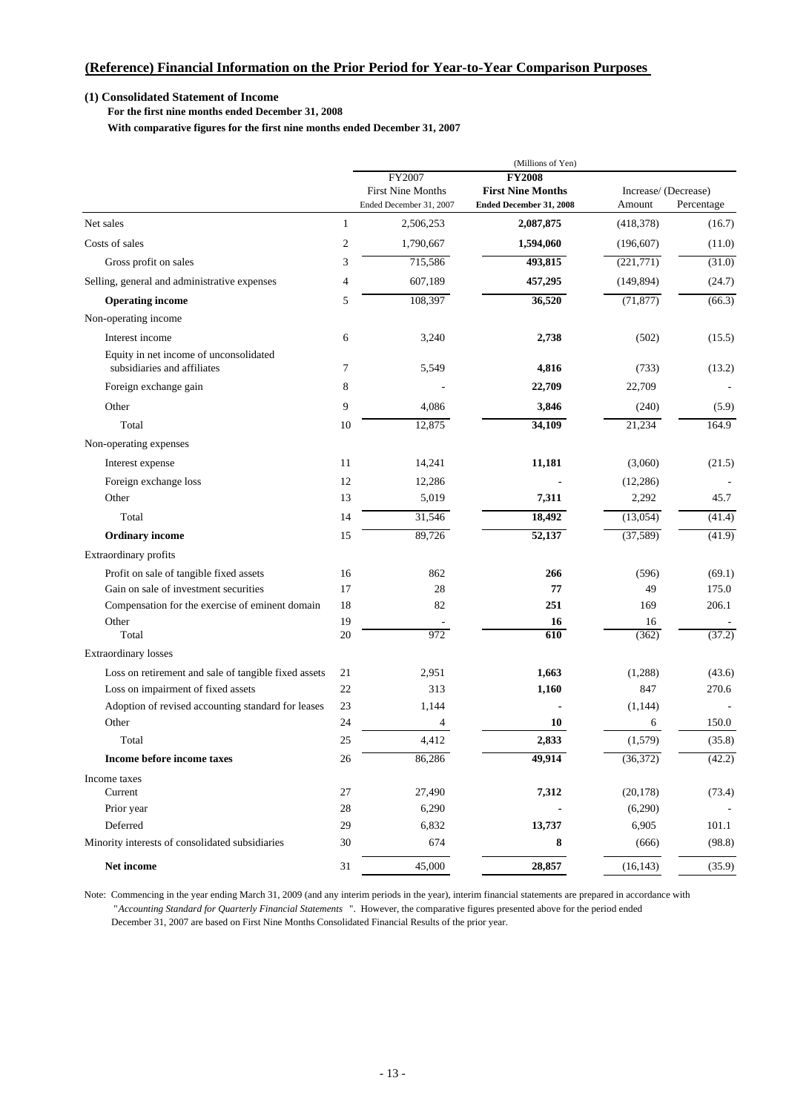### **(1) Consolidated Statement of Income**

 **For the first nine months ended December 31, 2008**

 **With comparative figures for the first nine months ended December 31, 2007**

|                                                             |                | (Millions of Yen)                                             |                                                                      |            |                                    |
|-------------------------------------------------------------|----------------|---------------------------------------------------------------|----------------------------------------------------------------------|------------|------------------------------------|
|                                                             |                | FY2007<br><b>First Nine Months</b><br>Ended December 31, 2007 | <b>FY2008</b><br><b>First Nine Months</b><br>Ended December 31, 2008 | Amount     | Increase/ (Decrease)<br>Percentage |
| Net sales                                                   | 1              | 2,506,253                                                     | 2,087,875                                                            | (418,378)  | (16.7)                             |
| Costs of sales                                              | $\overline{c}$ | 1,790,667                                                     | 1,594,060                                                            | (196, 607) | (11.0)                             |
| Gross profit on sales                                       | 3              | 715,586                                                       | 493,815                                                              | (221,771)  | (31.0)                             |
| Selling, general and administrative expenses                | 4              | 607,189                                                       | 457,295                                                              | (149, 894) | (24.7)                             |
| <b>Operating income</b>                                     | 5              | 108,397                                                       | 36,520                                                               | (71, 877)  | (66.3)                             |
| Non-operating income                                        |                |                                                               |                                                                      |            |                                    |
| Interest income                                             | 6              | 3,240                                                         | 2,738                                                                | (502)      |                                    |
| Equity in net income of unconsolidated                      |                |                                                               |                                                                      |            | (15.5)                             |
| subsidiaries and affiliates                                 | 7              | 5,549                                                         | 4,816                                                                | (733)      | (13.2)                             |
| Foreign exchange gain                                       | 8              |                                                               | 22,709                                                               | 22,709     |                                    |
| Other                                                       | 9              | 4,086                                                         | 3,846                                                                | (240)      | (5.9)                              |
| Total                                                       | 10             | 12,875                                                        | 34,109                                                               | 21,234     | 164.9                              |
|                                                             |                |                                                               |                                                                      |            |                                    |
| Non-operating expenses                                      |                |                                                               |                                                                      |            |                                    |
| Interest expense                                            | 11             | 14,241                                                        | 11,181                                                               | (3,060)    | (21.5)                             |
| Foreign exchange loss                                       | 12             | 12,286                                                        |                                                                      | (12, 286)  |                                    |
| Other                                                       | 13             | 5,019                                                         | 7,311                                                                | 2,292      | 45.7                               |
| Total                                                       | 14             | 31,546                                                        | 18,492                                                               | (13,054)   | (41.4)                             |
| <b>Ordinary income</b>                                      | 15             | 89,726                                                        | 52,137                                                               | (37, 589)  | (41.9)                             |
| Extraordinary profits                                       |                |                                                               |                                                                      |            |                                    |
| Profit on sale of tangible fixed assets                     | 16             | 862                                                           | 266                                                                  | (596)      | (69.1)                             |
| Gain on sale of investment securities                       | 17             | 28                                                            | 77                                                                   | 49         | 175.0                              |
| Compensation for the exercise of eminent domain             | 18             | 82                                                            | 251                                                                  | 169        | 206.1                              |
| Other                                                       | 19             |                                                               | 16                                                                   | 16         |                                    |
| Total                                                       | 20             | 972                                                           | 610                                                                  | (362)      | (37.2)                             |
| Extraordinary losses                                        |                |                                                               |                                                                      |            |                                    |
| Loss on retirement and sale of tangible fixed assets        | 21             | 2,951                                                         | 1,663                                                                | (1,288)    | (43.6)                             |
| Loss on impairment of fixed assets                          | 22             | 313                                                           | 1,160                                                                | 847        | 270.6                              |
| Adoption of revised accounting standard for leases          | 23             | 1,144                                                         |                                                                      | (1, 144)   |                                    |
| Other                                                       | 24             | 4                                                             | 10                                                                   | 6          | 150.0                              |
| Total                                                       | 25             | 4,412                                                         | 2,833                                                                | (1,579)    | (35.8)                             |
| Income before income taxes                                  | 26             | 86,286                                                        | 49,914                                                               | (36,372)   | (42.2)                             |
| Income taxes                                                |                |                                                               |                                                                      |            |                                    |
| Current                                                     | 27             | 27,490                                                        | 7,312                                                                | (20, 178)  | (73.4)                             |
| Prior year                                                  | 28             | 6,290                                                         |                                                                      | (6,290)    |                                    |
| Deferred<br>Minority interests of consolidated subsidiaries | 29             | 6,832                                                         | 13,737                                                               | 6,905      | 101.1                              |
|                                                             | 30             | 674                                                           | 8                                                                    | (666)      | (98.8)                             |
| Net income                                                  | 31             | 45,000                                                        | 28,857                                                               | (16, 143)  | (35.9)                             |

Note: Commencing in the year ending March 31, 2009 (and any interim periods in the year), interim financial statements are prepared in accordance with "*Accounting Standard for Quarterly Financial Statements* ". However, the comparative figures presented above for the period ended December 31, 2007 are based on First Nine Months Consolidated Financial Results of the prior year.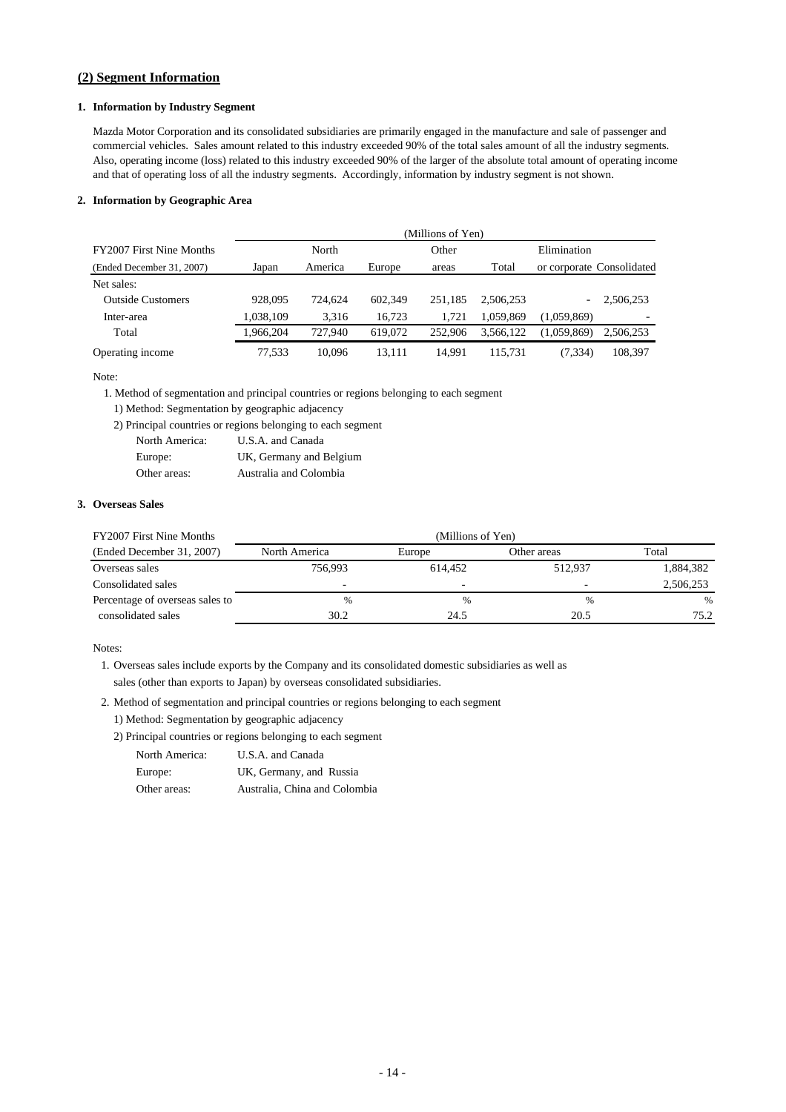## **(2) Segment Information**

### **1. Information by Industry Segment**

Mazda Motor Corporation and its consolidated subsidiaries are primarily engaged in the manufacture and sale of passenger and commercial vehicles. Sales amount related to this industry exceeded 90% of the total sales amount of all the industry segments. Also, operating income (loss) related to this industry exceeded 90% of the larger of the absolute total amount of operating income and that of operating loss of all the industry segments. Accordingly, information by industry segment is not shown.

#### **2. Information by Geographic Area**

|                           |           | (Millions of Yen) |         |         |           |                          |                           |  |
|---------------------------|-----------|-------------------|---------|---------|-----------|--------------------------|---------------------------|--|
| FY2007 First Nine Months  | North     |                   |         | Other   |           | Elimination              |                           |  |
| (Ended December 31, 2007) | Japan     | America           | Europe  | areas   | Total     |                          | or corporate Consolidated |  |
| Net sales:                |           |                   |         |         |           |                          |                           |  |
| <b>Outside Customers</b>  | 928,095   | 724.624           | 602.349 | 251.185 | 2.506.253 | $\overline{\phantom{0}}$ | 2,506,253                 |  |
| Inter-area                | 1.038.109 | 3.316             | 16.723  | 1.721   | 1.059.869 | (1,059,869)              |                           |  |
| Total                     | 1.966.204 | 727.940           | 619,072 | 252,906 | 3.566.122 | (1,059,869)              | 2.506.253                 |  |
| Operating income          | 77.533    | 10.096            | 13.111  | 14.991  | 115.731   | (7, 334)                 | 108.397                   |  |

#### Note:

1. Method of segmentation and principal countries or regions belonging to each segment

- 1) Method: Segmentation by geographic adjacency
- 2) Principal countries or regions belonging to each segment

| North America: | U.S.A. and Canada       |
|----------------|-------------------------|
| Europe:        | UK, Germany and Belgium |
| Other areas:   | Australia and Colombia  |

### **3. Overseas Sales**

| FY2007 First Nine Months        | (Millions of Yen)        |         |             |           |  |  |
|---------------------------------|--------------------------|---------|-------------|-----------|--|--|
| (Ended December 31, 2007)       | North America            | Europe  | Other areas | Total     |  |  |
| Overseas sales                  | 756.993                  | 614.452 | 512.937     | 1,884,382 |  |  |
| Consolidated sales              | $\overline{\phantom{0}}$ | -       | -           | 2,506,253 |  |  |
| Percentage of overseas sales to | $\%$                     | $\%$    | %           | %         |  |  |
| consolidated sales              | 30.2                     | 24.5    | 20.5        | 75.2      |  |  |

### Notes:

- 1. Overseas sales include exports by the Company and its consolidated domestic subsidiaries as well as sales (other than exports to Japan) by overseas consolidated subsidiaries.
- 2. Method of segmentation and principal countries or regions belonging to each segment
	- 1) Method: Segmentation by geographic adjacency
	- 2) Principal countries or regions belonging to each segment

| North America: | U.S.A. and Canada             |
|----------------|-------------------------------|
| Europe:        | UK, Germany, and Russia       |
| Other areas:   | Australia, China and Colombia |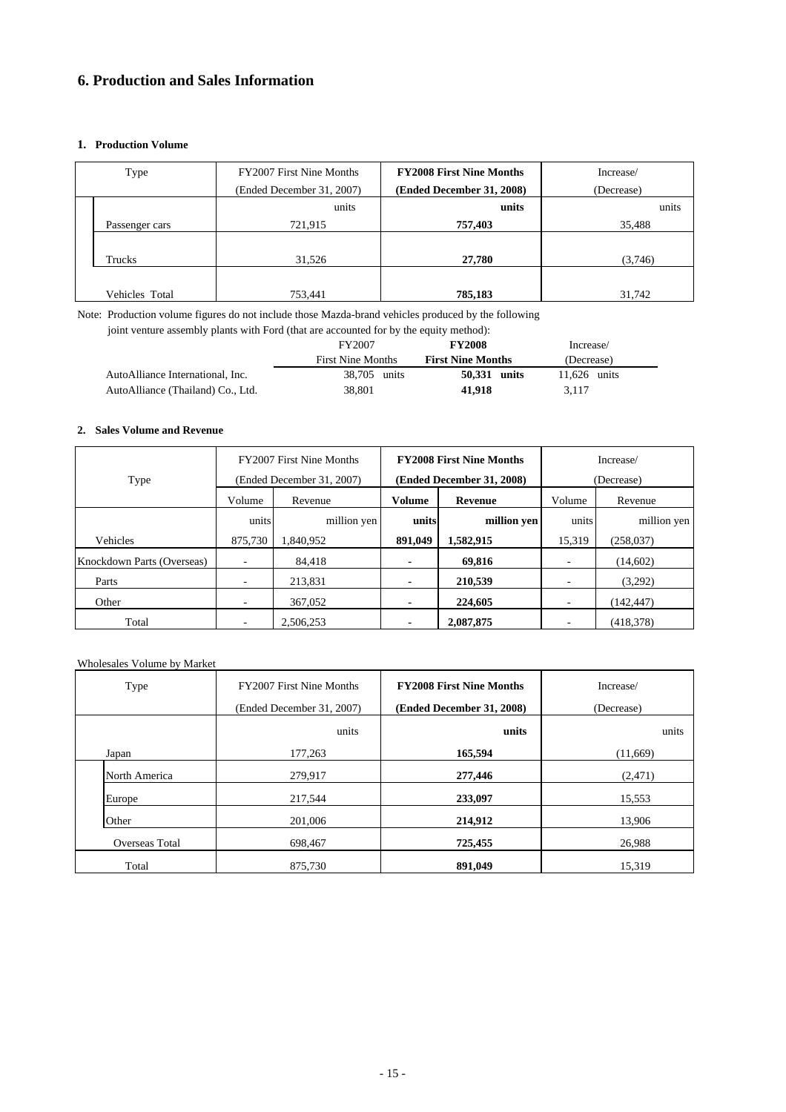## **6. Production and Sales Information**

### **1. Production Volume**

| Type           | FY2007 First Nine Months  | <b>FY2008 First Nine Months</b> | Increase/  |  |  |
|----------------|---------------------------|---------------------------------|------------|--|--|
|                | (Ended December 31, 2007) | (Ended December 31, 2008)       | (Decrease) |  |  |
|                | units                     | units                           | units      |  |  |
| Passenger cars | 721,915                   | 757,403                         | 35,488     |  |  |
|                |                           |                                 |            |  |  |
| Trucks         | 31,526                    | 27,780                          | (3,746)    |  |  |
|                |                           |                                 |            |  |  |
| Vehicles Total | 753,441                   | 785,183                         | 31,742     |  |  |

Note: Production volume figures do not include those Mazda-brand vehicles produced by the following

joint venture assembly plants with Ford (that are accounted for by the equity method):

|                                   | <b>FY2008</b><br>FY2007  |                          | Increase/      |
|-----------------------------------|--------------------------|--------------------------|----------------|
|                                   | <b>First Nine Months</b> | <b>First Nine Months</b> | (Decrease)     |
| AutoAlliance International, Inc.  | 38,705 units             | 50.331 units             | $11.626$ units |
| AutoAlliance (Thailand) Co., Ltd. | 38.801                   | 41.918                   | 3.117          |

### **2. Sales Volume and Revenue**

| Type                       |                           | FY2007 First Nine Months |                   | <b>FY2008 First Nine Months</b><br>(Ended December 31, 2008) | Increase/<br>(Decrease)  |             |  |
|----------------------------|---------------------------|--------------------------|-------------------|--------------------------------------------------------------|--------------------------|-------------|--|
|                            | (Ended December 31, 2007) |                          |                   |                                                              |                          |             |  |
|                            | Volume                    | Revenue                  | Volume<br>Revenue |                                                              | Volume                   | Revenue     |  |
|                            | million yen<br>units      |                          | units             | million yen                                                  | units                    | million yen |  |
| Vehicles                   | 875,730                   | 1.840.952                | 891,049           | 1,582,915                                                    | 15,319                   | (258, 037)  |  |
| Knockdown Parts (Overseas) |                           | 84.418                   | ٠                 | 69.816                                                       |                          | (14,602)    |  |
| Parts                      | ٠                         | 213.831                  | ٠                 | 210,539                                                      |                          | (3,292)     |  |
| Other                      | $\overline{\phantom{a}}$  | 367,052                  | ٠                 | 224,605                                                      | $\overline{\phantom{a}}$ | (142, 447)  |  |
| Total                      |                           | 2.506.253                | ٠                 | 2,087,875                                                    |                          | (418, 378)  |  |

### Wholesales Volume by Market

| Type           | FY2007 First Nine Months  | <b>FY2008 First Nine Months</b> | Increase/  |  |  |
|----------------|---------------------------|---------------------------------|------------|--|--|
|                | (Ended December 31, 2007) | (Ended December 31, 2008)       | (Decrease) |  |  |
|                | units                     | units                           | units      |  |  |
| Japan          | 177,263                   | 165,594                         | (11,669)   |  |  |
| North America  | 279,917                   | 277,446                         | (2,471)    |  |  |
| Europe         | 217,544                   | 233,097                         | 15,553     |  |  |
| Other          | 201,006                   | 214,912                         | 13,906     |  |  |
| Overseas Total | 698,467                   | 725,455                         | 26,988     |  |  |
| Total          | 875,730                   | 891.049                         | 15,319     |  |  |